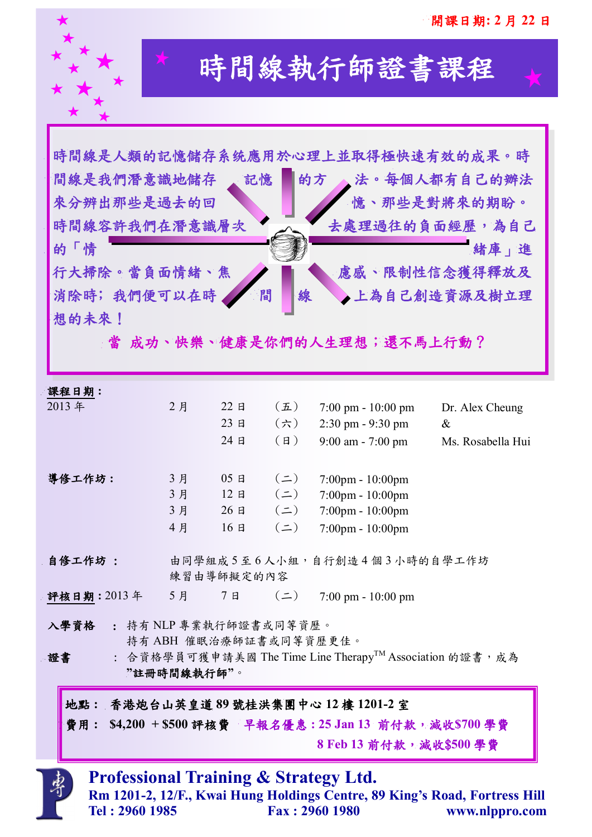

# 時間線執行師證書課程

|                                                                                                                                        |                                                                                     |    |            |                | 時間線是人類的記憶儲存系统應用於心理上並取得極快速有效的成果。時                 |                   |  |
|----------------------------------------------------------------------------------------------------------------------------------------|-------------------------------------------------------------------------------------|----|------------|----------------|--------------------------------------------------|-------------------|--|
| 間線是我們潛意識地儲存                                                                                                                            |                                                                                     |    | 記憶         | 的方             |                                                  | 法。每個人都有自己的辦法      |  |
|                                                                                                                                        |                                                                                     |    |            |                |                                                  |                   |  |
| 來分辨出那些是過去的回                                                                                                                            |                                                                                     |    |            |                |                                                  | 憶、那些是對將來的期盼。      |  |
| 時間線容許我們在潛意識層次                                                                                                                          |                                                                                     |    |            |                | 去處理過往的負面經歷,為自己                                   |                   |  |
| 的「情                                                                                                                                    |                                                                                     |    |            |                |                                                  | 緒庫」進              |  |
| 行大掃除。當負面情緒、焦                                                                                                                           |                                                                                     |    |            |                | 慮感、限制性信念獲得釋放及                                    |                   |  |
| 消除時;我們便可以在時                                                                                                                            |                                                                                     |    | 間          | 線              |                                                  | 上為自己創造資源及樹立理      |  |
|                                                                                                                                        |                                                                                     |    |            |                |                                                  |                   |  |
| 想的未來!                                                                                                                                  |                                                                                     |    |            |                |                                                  |                   |  |
|                                                                                                                                        |                                                                                     |    |            |                | 當 成功、快樂、健康是你們的人生理想;還不馬上行動?                       |                   |  |
|                                                                                                                                        |                                                                                     |    |            |                |                                                  |                   |  |
| 課程日期:                                                                                                                                  |                                                                                     |    |            |                |                                                  |                   |  |
| 2013年                                                                                                                                  |                                                                                     | 2月 | 22E        | $(\mathbf{L})$ | $7:00 \text{ pm} - 10:00 \text{ pm}$             | Dr. Alex Cheung   |  |
|                                                                                                                                        |                                                                                     |    | 23日        | $(\n\pi)$      | 2:30 pm - 9:30 pm                                | $\&$              |  |
|                                                                                                                                        |                                                                                     |    | 24日        | $(\Box)$       | $9:00$ am - 7:00 pm                              | Ms. Rosabella Hui |  |
| 導修工作坊:                                                                                                                                 |                                                                                     | 3月 | 05B        | $(\equiv)$     |                                                  |                   |  |
|                                                                                                                                        |                                                                                     | 3月 | 12E        | $(\equiv)$     | 7:00pm - 10:00pm<br>7:00pm - 10:00pm             |                   |  |
|                                                                                                                                        |                                                                                     | 3月 | $26$ 日     | $(\equiv)$     | 7:00pm - 10:00pm                                 |                   |  |
|                                                                                                                                        |                                                                                     | 4月 | 16E        | $(\equiv)$     | 7:00pm - 10:00pm                                 |                   |  |
| 自修工作坊 :                                                                                                                                |                                                                                     |    | 練習由導師擬定的內容 |                | 由同學組成5至6人小組,自行創造4個3小時的自學工作坊                      |                   |  |
|                                                                                                                                        |                                                                                     |    |            |                | 評核日期: 2013年 5月 7日 (二) 7:00 pm - 10:00 pm         |                   |  |
| 入學資格 : 持有 NLP 專業執行師證書或同等資歷。<br>持有 ABH 催眠治療師証書或同等資歷更佳。<br>: 合資格學員可獲申請美國 The Time Line Therapy™ Association 的證書, 成為<br>證書<br>"註冊時間線執行師"。 |                                                                                     |    |            |                |                                                  |                   |  |
|                                                                                                                                        |                                                                                     |    |            |                | 地點: 香港炮台山英皇道 89 號桂洪集團中心 12 樓 1201-2 室            |                   |  |
|                                                                                                                                        |                                                                                     |    |            |                |                                                  |                   |  |
|                                                                                                                                        | 費用: \$4,200 + \$500 評核費 早報名優惠: 25 Jan 13 前付款,減收\$700 學費<br>8 Feb 13 前付款, 減收\$500 學費 |    |            |                |                                                  |                   |  |
|                                                                                                                                        |                                                                                     |    |            |                |                                                  |                   |  |
|                                                                                                                                        |                                                                                     |    |            |                | <b>Professional Training &amp; Strategy Ltd.</b> |                   |  |
|                                                                                                                                        | Rm 1201-2, 12/F., Kwai Hung Holdings Centre, 89 King's Road, Fortress Hill          |    |            |                |                                                  |                   |  |
|                                                                                                                                        | Tel: 2960 1985                                                                      |    |            | Fax: 2960 1980 |                                                  | www.nlppro.com    |  |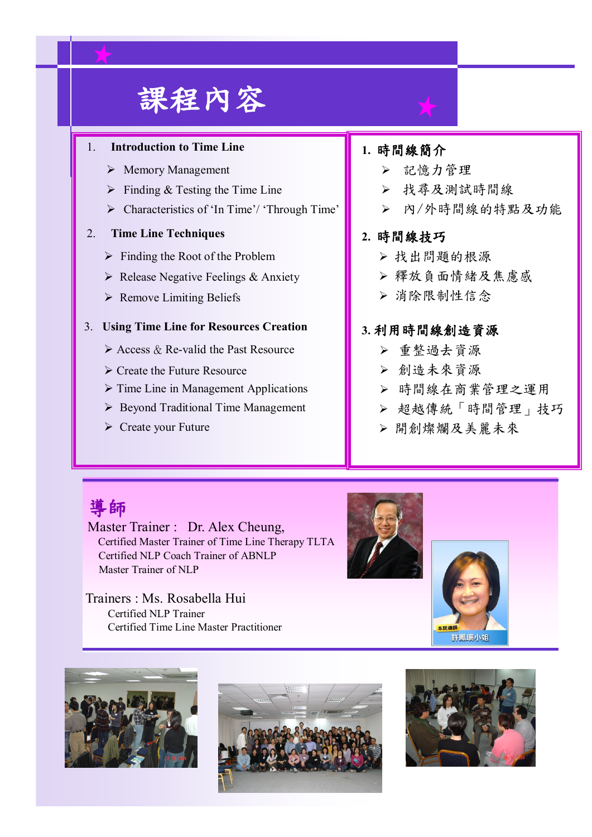# 課程內容

### 1. **Introduction to Time Line**

- $\triangleright$  Memory Management
- $\triangleright$  Finding & Testing the Time Line
- > Characteristics of 'In Time'/ 'Through Time'

## 2. **Time Line Techniques**

- $\triangleright$  Finding the Root of the Problem
- $\triangleright$  Release Negative Feelings & Anxiety
- $\triangleright$  Remove Limiting Beliefs

#### 3. **Using Time Line for Resources Creation**

- $\triangleright$  Access & Re-valid the Past Resource
- Create the Future Resource
- $\triangleright$  Time Line in Management Applications
- $\triangleright$  Beyond Traditional Time Management
- $\triangleright$  Create your Future

# **1.** 時間線簡介

- > 記憶力管理
- 找尋及測試時間線
- 內/外時間線的特點及功能

### **2.** 時間線技巧

- 找出問題的根源
- 釋放負面情緒及焦慮感
- 消除限制性信念

## **3.** 利用時間線創造資源

- 重整過去資源
- 創造未來資源
- 時間線在商業管理之運用
- 超越傳統「時間管理」技巧
- 開創燦爛及美麗未來

# 導師

Master Trainer : Dr. Alex Cheung, Certified Master Trainer of Time Line Therapy TLTA Certified NLP Coach Trainer of ABNLP Master Trainer of NLP

Trainers : Ms. Rosabella Hui Certified NLP Trainer Certified Time Line Master Practitioner









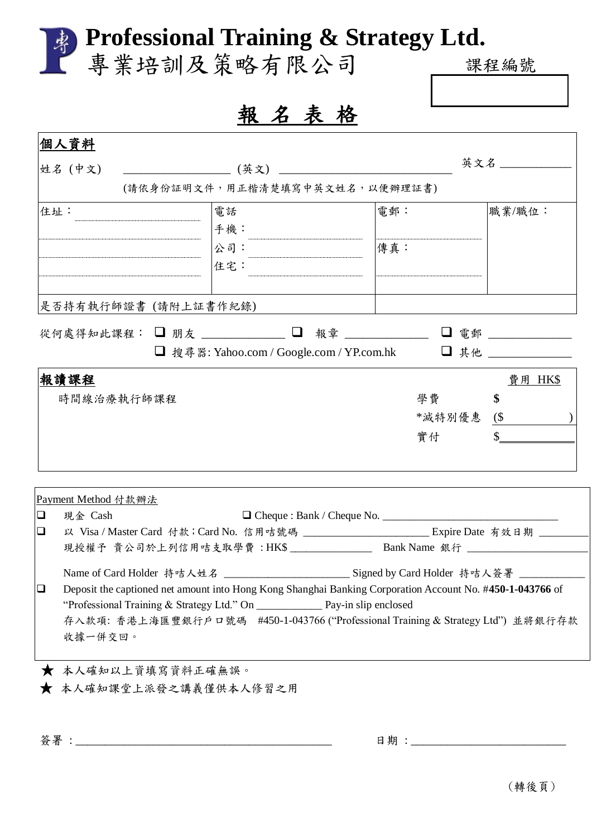|                                | 專業培訓及策略有限公司                                                                                               |        | 课程编號        |
|--------------------------------|-----------------------------------------------------------------------------------------------------------|--------|-------------|
|                                |                                                                                                           |        |             |
|                                | 報名表格                                                                                                      |        |             |
| 個人資料                           |                                                                                                           |        |             |
| 姓名 (中文)                        |                                                                                                           |        | 英文名 _______ |
|                                | (請依身份証明文件,用正楷清楚填寫中英文姓名,以便辦理証書)                                                                            |        |             |
| 住址:                            | 電話                                                                                                        | 電郵:    | 職業/職位:      |
|                                | 手機:                                                                                                       |        |             |
|                                | 公司:                                                                                                       | 傳真:    |             |
|                                | 住宅:                                                                                                       |        |             |
|                                |                                                                                                           |        |             |
|                                | 是否持有執行師證書 (請附上証書作紀錄)                                                                                      |        |             |
|                                | 從何處得知此課程: □ 朋友 _______ □ 報章 ________ □ 電郵 ________                                                        |        |             |
|                                | ■ 搜尋器: Yahoo.com / Google.com / YP.com.hk                                                                 |        |             |
|                                |                                                                                                           |        |             |
| 報讀課程                           |                                                                                                           |        | 費用 HK\$     |
| 時間線治療執行師課程                     |                                                                                                           | 學費     | \$          |
|                                |                                                                                                           | *減特別優惠 | $(\$\)$     |
|                                |                                                                                                           | 實付     |             |
|                                |                                                                                                           |        |             |
|                                |                                                                                                           |        |             |
|                                |                                                                                                           |        |             |
| Payment Method 付款辦法<br>現金 Cash |                                                                                                           |        |             |
|                                | 以 Visa / Master Card 付款; Card No. 信用咭號碼 __________________________Expire Date 有效日期 _________              |        |             |
|                                | 現授權予 貴公司於上列信用咭支取學費:HK\$_______________ Bank Name 銀行 _____________________________                         |        |             |
|                                | Name of Card Holder 持咭人姓名 __________________________Signed by Card Holder 持咭人簽署 __________                |        |             |
|                                | Deposit the captioned net amount into Hong Kong Shanghai Banking Corporation Account No. #450-1-043766 of |        |             |
|                                |                                                                                                           |        |             |
|                                | 存入款項: 香港上海匯豐銀行戶口號碼 #450-1-043766 ("Professional Training & Strategy Ltd") 並將銀行存款                          |        |             |
| 收據一併交回。                        |                                                                                                           |        |             |
|                                | ★ 本人確知以上資填寫資料正確無誤。                                                                                        |        |             |

簽署 : \_\_\_\_\_\_\_\_\_\_\_\_\_\_\_\_\_\_\_\_\_\_\_\_\_\_\_\_\_\_\_\_\_\_\_\_\_\_\_\_\_\_\_ 日期 : \_\_\_\_\_\_\_\_\_\_\_\_\_\_\_\_\_\_\_\_\_\_\_\_\_\_